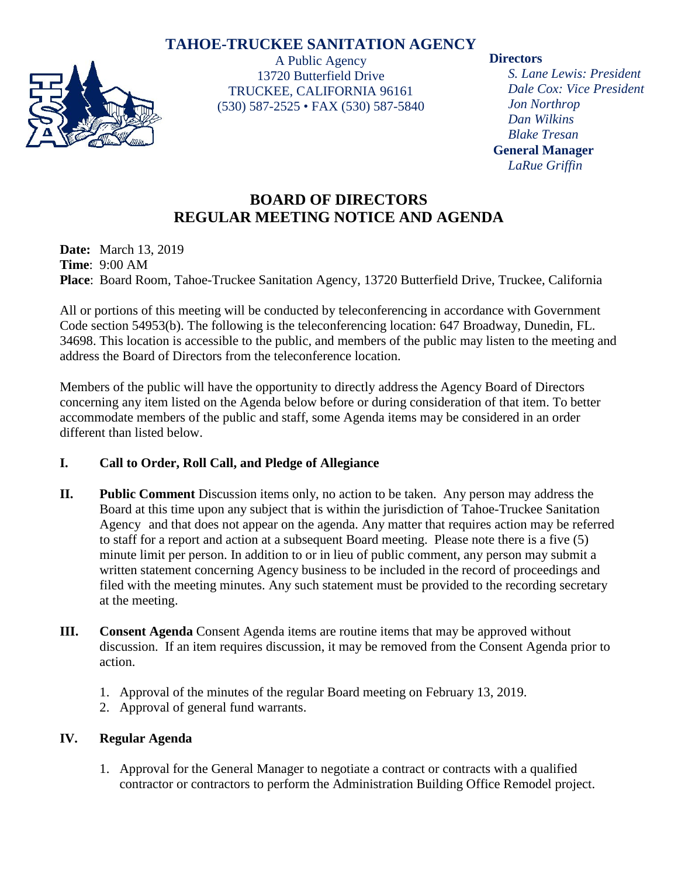# **TAHOE-TRUCKEE SANITATION AGENCY**



A Public Agency 13720 Butterfield Drive TRUCKEE, CALIFORNIA 96161 (530) 587-2525 • FAX (530) 587-5840

### **Directors**

*S. Lane Lewis: President Dale Cox: Vice President Jon Northrop Dan Wilkins Blake Tresan* **General Manager** *LaRue Griffin*

# **BOARD OF DIRECTORS REGULAR MEETING NOTICE AND AGENDA**

**Date:** March 13, 2019 **Time**: 9:00 AM **Place**: Board Room, Tahoe-Truckee Sanitation Agency, 13720 Butterfield Drive, Truckee, California

All or portions of this meeting will be conducted by teleconferencing in accordance with Government Code section 54953(b). The following is the teleconferencing location: 647 Broadway, Dunedin, FL. 34698. This location is accessible to the public, and members of the public may listen to the meeting and address the Board of Directors from the teleconference location.

Members of the public will have the opportunity to directly address the Agency Board of Directors concerning any item listed on the Agenda below before or during consideration of that item. To better accommodate members of the public and staff, some Agenda items may be considered in an order different than listed below.

## **I. Call to Order, Roll Call, and Pledge of Allegiance**

- **II. Public Comment** Discussion items only, no action to be taken. Any person may address the Board at this time upon any subject that is within the jurisdiction of Tahoe-Truckee Sanitation Agency and that does not appear on the agenda. Any matter that requires action may be referred to staff for a report and action at a subsequent Board meeting. Please note there is a five (5) minute limit per person. In addition to or in lieu of public comment, any person may submit a written statement concerning Agency business to be included in the record of proceedings and filed with the meeting minutes. Any such statement must be provided to the recording secretary at the meeting.
- **III. Consent Agenda** Consent Agenda items are routine items that may be approved without discussion. If an item requires discussion, it may be removed from the Consent Agenda prior to action.
	- 1. Approval of the minutes of the regular Board meeting on February 13, 2019.
	- 2. Approval of general fund warrants.

## **IV. Regular Agenda**

1. Approval for the General Manager to negotiate a contract or contracts with a qualified contractor or contractors to perform the Administration Building Office Remodel project.